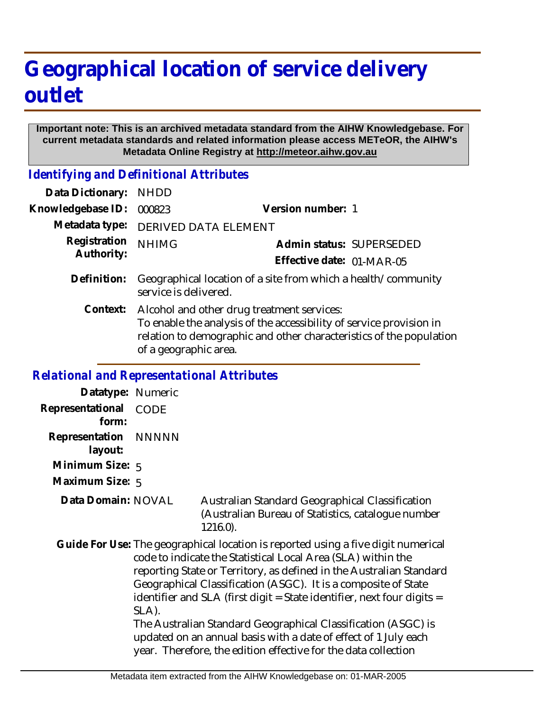## **Geographical location of service delivery outlet**

## **Important note: This is an archived metadata standard from the AIHW Knowledgebase. For current metadata standards and related information please access METeOR, the AIHW's Metadata Online Registry at http://meteor.aihw.gov.au**

*Identifying and Definitional Attributes*

| Data Dictionary:           | <b>NHDD</b>                                                                                                                                                                                                       |                           |                          |
|----------------------------|-------------------------------------------------------------------------------------------------------------------------------------------------------------------------------------------------------------------|---------------------------|--------------------------|
| Knowledgebase ID:          | 000823                                                                                                                                                                                                            | Version number: 1         |                          |
| Metadata type:             | <b>DERIVED DATA ELEMENT</b>                                                                                                                                                                                       |                           |                          |
| Registration<br>Authority: | <b>NHIMG</b>                                                                                                                                                                                                      |                           | Admin status: SUPERSEDED |
|                            |                                                                                                                                                                                                                   | Effective date: 01-MAR-05 |                          |
| Definition:                | Geographical location of a site from which a health/community<br>service is delivered.                                                                                                                            |                           |                          |
| Context:                   | Alcohol and other drug treatment services:<br>To enable the analysis of the accessibility of service provision in<br>relation to demographic and other characteristics of the population<br>of a geographic area. |                           |                          |

## *Relational and Representational Attributes*

| Datatype: Numeric         |                                                                                                                                                                                                                                                                                                                                                                                                                                                                                                                                                                                     |                                                                                                                      |  |
|---------------------------|-------------------------------------------------------------------------------------------------------------------------------------------------------------------------------------------------------------------------------------------------------------------------------------------------------------------------------------------------------------------------------------------------------------------------------------------------------------------------------------------------------------------------------------------------------------------------------------|----------------------------------------------------------------------------------------------------------------------|--|
| Representational<br>form: | <b>CODE</b>                                                                                                                                                                                                                                                                                                                                                                                                                                                                                                                                                                         |                                                                                                                      |  |
| Representation<br>layout: | NNNNN                                                                                                                                                                                                                                                                                                                                                                                                                                                                                                                                                                               |                                                                                                                      |  |
| Minimum Size: $5$         |                                                                                                                                                                                                                                                                                                                                                                                                                                                                                                                                                                                     |                                                                                                                      |  |
| Maximum Size: 5           |                                                                                                                                                                                                                                                                                                                                                                                                                                                                                                                                                                                     |                                                                                                                      |  |
| Data Domain: NOVAL        |                                                                                                                                                                                                                                                                                                                                                                                                                                                                                                                                                                                     | Australian Standard Geographical Classification<br>(Australian Bureau of Statistics, catalogue number<br>$1216.0$ ). |  |
|                           | Guide For Use: The geographical location is reported using a five digit numerical<br>code to indicate the Statistical Local Area (SLA) within the<br>reporting State or Territory, as defined in the Australian Standard<br>Geographical Classification (ASGC). It is a composite of State<br>identifier and SLA (first digit = State identifier, next four digits =<br>SLA).<br>The Australian Standard Geographical Classification (ASGC) is<br>updated on an annual basis with a date of effect of 1 July each<br>year. Therefore, the edition effective for the data collection |                                                                                                                      |  |